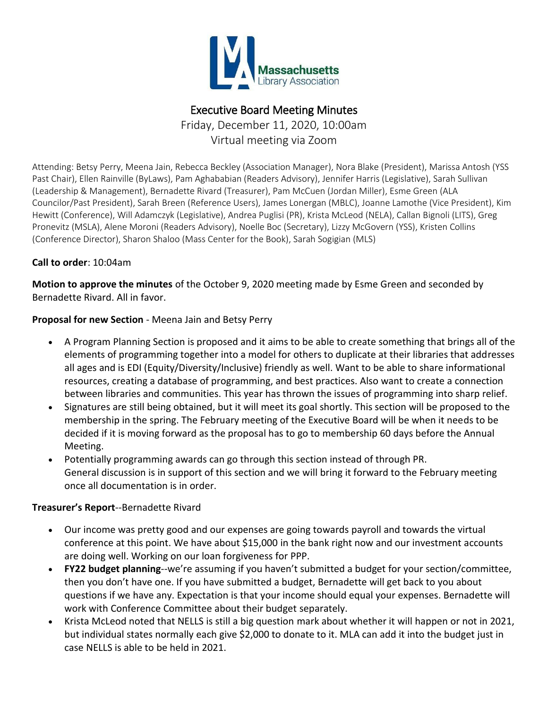

# Executive Board Meeting Minutes

Friday, December 11, 2020, 10:00am Virtual meeting via Zoom

Attending: Betsy Perry, Meena Jain, Rebecca Beckley (Association Manager), Nora Blake (President), Marissa Antosh (YSS Past Chair), Ellen Rainville (ByLaws), Pam Aghababian (Readers Advisory), Jennifer Harris (Legislative), Sarah Sullivan (Leadership & Management), Bernadette Rivard (Treasurer), Pam McCuen (Jordan Miller), Esme Green (ALA Councilor/Past President), Sarah Breen (Reference Users), James Lonergan (MBLC), Joanne Lamothe (Vice President), Kim Hewitt (Conference), Will Adamczyk (Legislative), Andrea Puglisi (PR), Krista McLeod (NELA), Callan Bignoli (LITS), Greg Pronevitz (MSLA), Alene Moroni (Readers Advisory), Noelle Boc (Secretary), Lizzy McGovern (YSS), Kristen Collins (Conference Director), Sharon Shaloo (Mass Center for the Book), Sarah Sogigian (MLS)

### **Call to order**: 10:04am

**Motion to approve the minutes** of the October 9, 2020 meeting made by Esme Green and seconded by Bernadette Rivard. All in favor.

### **Proposal for new Section** - Meena Jain and Betsy Perry

- A Program Planning Section is proposed and it aims to be able to create something that brings all of the elements of programming together into a model for others to duplicate at their libraries that addresses all ages and is EDI (Equity/Diversity/Inclusive) friendly as well. Want to be able to share informational resources, creating a database of programming, and best practices. Also want to create a connection between libraries and communities. This year has thrown the issues of programming into sharp relief.
- Signatures are still being obtained, but it will meet its goal shortly. This section will be proposed to the membership in the spring. The February meeting of the Executive Board will be when it needs to be decided if it is moving forward as the proposal has to go to membership 60 days before the Annual Meeting.
- Potentially programming awards can go through this section instead of through PR. General discussion is in support of this section and we will bring it forward to the February meeting once all documentation is in order.

### **Treasurer's Report**--Bernadette Rivard

- Our income was pretty good and our expenses are going towards payroll and towards the virtual conference at this point. We have about \$15,000 in the bank right now and our investment accounts are doing well. Working on our loan forgiveness for PPP.
- **FY22 budget planning**--we're assuming if you haven't submitted a budget for your section/committee, then you don't have one. If you have submitted a budget, Bernadette will get back to you about questions if we have any. Expectation is that your income should equal your expenses. Bernadette will work with Conference Committee about their budget separately.
- Krista McLeod noted that NELLS is still a big question mark about whether it will happen or not in 2021, but individual states normally each give \$2,000 to donate to it. MLA can add it into the budget just in case NELLS is able to be held in 2021.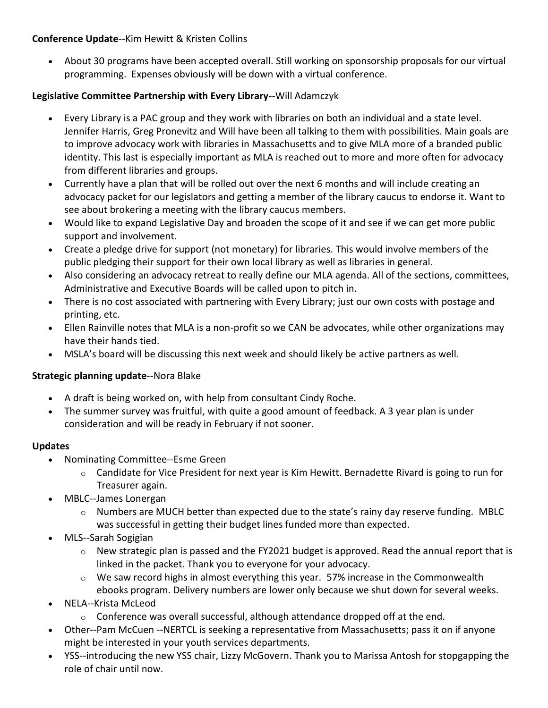# **Conference Update**--Kim Hewitt & Kristen Collins

 About 30 programs have been accepted overall. Still working on sponsorship proposals for our virtual programming. Expenses obviously will be down with a virtual conference.

# **Legislative Committee Partnership with Every Library**--Will Adamczyk

- Every Library is a PAC group and they work with libraries on both an individual and a state level. Jennifer Harris, Greg Pronevitz and Will have been all talking to them with possibilities. Main goals are to improve advocacy work with libraries in Massachusetts and to give MLA more of a branded public identity. This last is especially important as MLA is reached out to more and more often for advocacy from different libraries and groups.
- Currently have a plan that will be rolled out over the next 6 months and will include creating an advocacy packet for our legislators and getting a member of the library caucus to endorse it. Want to see about brokering a meeting with the library caucus members.
- Would like to expand Legislative Day and broaden the scope of it and see if we can get more public support and involvement.
- Create a pledge drive for support (not monetary) for libraries. This would involve members of the public pledging their support for their own local library as well as libraries in general.
- Also considering an advocacy retreat to really define our MLA agenda. All of the sections, committees, Administrative and Executive Boards will be called upon to pitch in.
- There is no cost associated with partnering with Every Library; just our own costs with postage and printing, etc.
- Ellen Rainville notes that MLA is a non-profit so we CAN be advocates, while other organizations may have their hands tied.
- MSLA's board will be discussing this next week and should likely be active partners as well.

### **Strategic planning update**--Nora Blake

- A draft is being worked on, with help from consultant Cindy Roche.
- The summer survey was fruitful, with quite a good amount of feedback. A 3 year plan is under consideration and will be ready in February if not sooner.

### **Updates**

- Nominating Committee--Esme Green
	- $\circ$  Candidate for Vice President for next year is Kim Hewitt. Bernadette Rivard is going to run for Treasurer again.
- MBLC--James Lonergan
	- $\circ$  Numbers are MUCH better than expected due to the state's rainy day reserve funding. MBLC was successful in getting their budget lines funded more than expected.
- MLS--Sarah Sogigian
	- $\circ$  New strategic plan is passed and the FY2021 budget is approved. Read the annual report that is linked in the packet. Thank you to everyone for your advocacy.
	- $\circ$  We saw record highs in almost everything this year. 57% increase in the Commonwealth ebooks program. Delivery numbers are lower only because we shut down for several weeks.
- NELA--Krista McLeod
	- $\circ$  Conference was overall successful, although attendance dropped off at the end.
- Other--Pam McCuen --NERTCL is seeking a representative from Massachusetts; pass it on if anyone might be interested in your youth services departments.
- YSS--introducing the new YSS chair, Lizzy McGovern. Thank you to Marissa Antosh for stopgapping the role of chair until now.